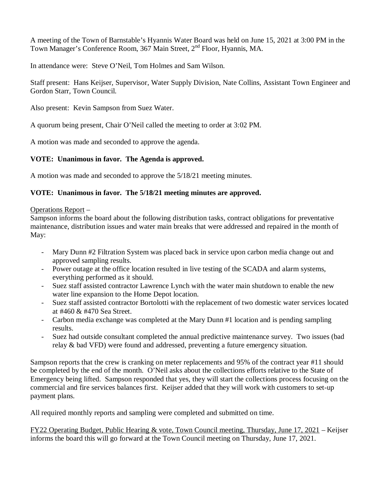A meeting of the Town of Barnstable's Hyannis Water Board was held on June 15, 2021 at 3:00 PM in the Town Manager's Conference Room, 367 Main Street, 2<sup>nd</sup> Floor, Hyannis, MA.

In attendance were: Steve O'Neil, Tom Holmes and Sam Wilson.

Staff present: Hans Keijser, Supervisor, Water Supply Division, Nate Collins, Assistant Town Engineer and Gordon Starr, Town Council.

Also present: Kevin Sampson from Suez Water.

A quorum being present, Chair O'Neil called the meeting to order at 3:02 PM.

A motion was made and seconded to approve the agenda.

## **VOTE: Unanimous in favor. The Agenda is approved.**

A motion was made and seconded to approve the 5/18/21 meeting minutes.

## **VOTE: Unanimous in favor. The 5/18/21 meeting minutes are approved.**

Operations Report –

Sampson informs the board about the following distribution tasks, contract obligations for preventative maintenance, distribution issues and water main breaks that were addressed and repaired in the month of May:

- Mary Dunn #2 Filtration System was placed back in service upon carbon media change out and approved sampling results.
- Power outage at the office location resulted in live testing of the SCADA and alarm systems, everything performed as it should.
- Suez staff assisted contractor Lawrence Lynch with the water main shutdown to enable the new water line expansion to the Home Depot location.
- Suez staff assisted contractor Bortolotti with the replacement of two domestic water services located at #460 & #470 Sea Street.
- Carbon media exchange was completed at the Mary Dunn #1 location and is pending sampling results.
- Suez had outside consultant completed the annual predictive maintenance survey. Two issues (bad relay & bad VFD) were found and addressed, preventing a future emergency situation.

Sampson reports that the crew is cranking on meter replacements and 95% of the contract year #11 should be completed by the end of the month. O'Neil asks about the collections efforts relative to the State of Emergency being lifted. Sampson responded that yes, they will start the collections process focusing on the commercial and fire services balances first. Keijser added that they will work with customers to set-up payment plans.

All required monthly reports and sampling were completed and submitted on time.

FY22 Operating Budget, Public Hearing & vote, Town Council meeting, Thursday, June 17, 2021 – Keijser informs the board this will go forward at the Town Council meeting on Thursday, June 17, 2021.